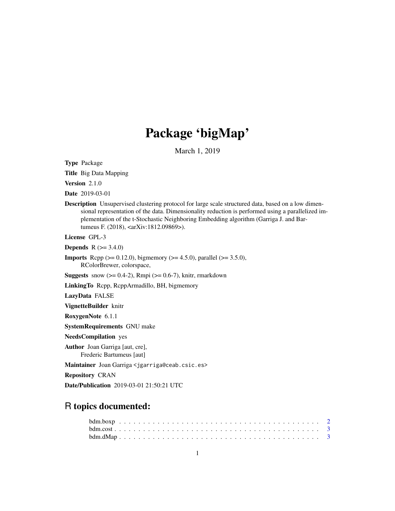## Package 'bigMap'

March 1, 2019

Type Package

Title Big Data Mapping

Version 2.1.0

Date 2019-03-01

Description Unsupervised clustering protocol for large scale structured data, based on a low dimensional representation of the data. Dimensionality reduction is performed using a parallelized implementation of the t-Stochastic Neighboring Embedding algorithm (Garriga J. and Bartumeus F. (2018), <arXiv:1812.09869>).

License GPL-3

**Depends**  $R$  ( $>= 3.4.0$ )

**Imports** Rcpp ( $>= 0.12.0$ ), bigmemory ( $>= 4.5.0$ ), parallel ( $>= 3.5.0$ ), RColorBrewer, colorspace,

**Suggests** snow  $(>= 0.4-2)$ , Rmpi  $(>= 0.6-7)$ , knitr, rmarkdown

LinkingTo Rcpp, RcppArmadillo, BH, bigmemory

LazyData FALSE

VignetteBuilder knitr

RoxygenNote 6.1.1

SystemRequirements GNU make

NeedsCompilation yes

Author Joan Garriga [aut, cre], Frederic Bartumeus [aut]

Maintainer Joan Garriga <jgarriga@ceab.csic.es>

Repository CRAN

Date/Publication 2019-03-01 21:50:21 UTC

## R topics documented: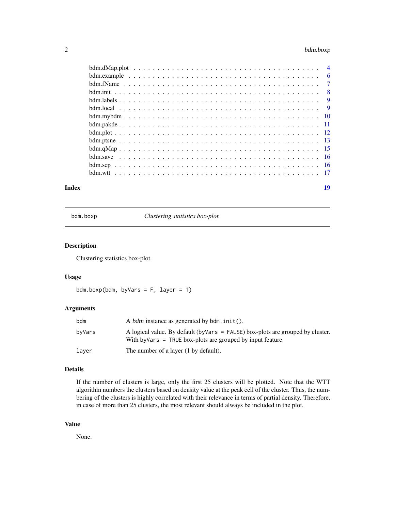## <span id="page-1-0"></span>2 bdm.boxp

| Index | 19 |
|-------|----|
|       |    |
|       |    |
|       |    |
|       |    |
|       |    |
|       |    |
|       |    |
|       |    |
|       |    |
|       |    |
|       |    |
|       |    |
|       |    |
|       |    |

bdm.boxp *Clustering statistics box-plot.*

## Description

Clustering statistics box-plot.

#### Usage

```
bdm.boxp(bdm, byVars = F, layer = 1)
```
## Arguments

| bdm    | A bdm instance as generated by $\mathsf{bdm}\text{.init}()$ .                                                                                      |
|--------|----------------------------------------------------------------------------------------------------------------------------------------------------|
| bvVars | A logical value. By default (by Vars $=$ FALSE) box-plots are grouped by cluster.<br>With by Vars $=$ TRUE box-plots are grouped by input feature. |
| layer  | The number of a layer (1 by default).                                                                                                              |

## Details

If the number of clusters is large, only the first 25 clusters will be plotted. Note that the WTT algorithm numbers the clusters based on density value at the peak cell of the cluster. Thus, the numbering of the clusters is highly correlated with their relevance in terms of partial density. Therefore, in case of more than 25 clusters, the most relevant should always be included in the plot.

#### Value

None.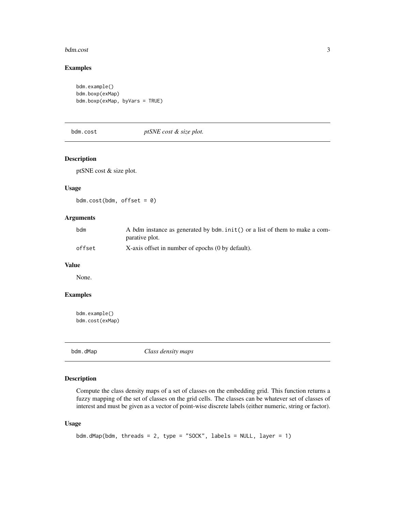#### <span id="page-2-0"></span>bdm.cost 3

## Examples

```
bdm.example()
bdm.boxp(exMap)
bdm.boxp(exMap, byVars = TRUE)
```
bdm.cost *ptSNE cost & size plot.*

## Description

ptSNE cost & size plot.

## Usage

bdm.cost(bdm, offset =  $0$ )

## Arguments

| bdm    | A bdm instance as generated by bdm.init() or a list of them to make a com- |
|--------|----------------------------------------------------------------------------|
|        | parative plot.                                                             |
| offset | X-axis offset in number of epochs (0 by default).                          |

#### Value

None.

## Examples

```
bdm.example()
bdm.cost(exMap)
```
bdm.dMap *Class density maps*

## Description

Compute the class density maps of a set of classes on the embedding grid. This function returns a fuzzy mapping of the set of classes on the grid cells. The classes can be whatever set of classes of interest and must be given as a vector of point-wise discrete labels (either numeric, string or factor).

#### Usage

```
bdm.dMap(bdm, threads = 2, type = "SOCK", labels = NULL, layer = 1)
```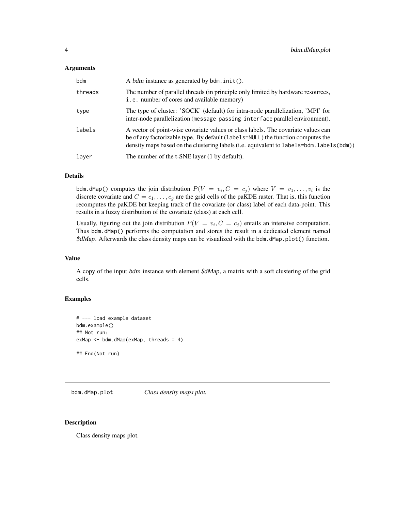#### <span id="page-3-0"></span>**Arguments**

| bdm     | A bdm instance as generated by $\mathsf{bdm}\mathsf{.init}()$ .                                                                                                                                                                                                   |
|---------|-------------------------------------------------------------------------------------------------------------------------------------------------------------------------------------------------------------------------------------------------------------------|
| threads | The number of parallel threads (in principle only limited by hardware resources,<br>i.e. number of cores and available memory)                                                                                                                                    |
| type    | The type of cluster: 'SOCK' (default) for intra-node parallelization, 'MPI' for<br>inter-node parallelization (message passing interface parallel environment).                                                                                                   |
| labels  | A vector of point-wise covariate values or class labels. The covariate values can<br>be of any factorizable type. By default (1abe1s=NULL) the function computes the<br>density maps based on the clustering labels (i.e. equivalent to labels=bdm. labels (bdm)) |
| layer   | The number of the t-SNE layer (1 by default).                                                                                                                                                                                                                     |

## Details

bdm.dMap() computes the join distribution  $P(V = v_i, C = c_j)$  where  $V = v_1, \ldots, v_l$  is the discrete covariate and  $C = c_1, \ldots, c_g$  are the grid cells of the paKDE raster. That is, this function recomputes the paKDE but keeping track of the covariate (or class) label of each data-point. This results in a fuzzy distribution of the covariate (class) at each cell.

Usually, figuring out the join distribution  $P(V = v_i, C = c_j)$  entails an intensive computation. Thus bdm.dMap() performs the computation and stores the result in a dedicated element named  $\frac{\delta d}{\delta m}$ . Afterwards the class density maps can be visualized with the bdm.dMap.plot() function.

## Value

A copy of the input bdm instance with element \$dMap, a matrix with a soft clustering of the grid cells.

## Examples

```
# --- load example dataset
bdm.example()
## Not run:
exMap <- bdm.dMap(exMap, threads = 4)
```
bdm.dMap.plot *Class density maps plot.*

#### Description

Class density maps plot.

## End(Not run)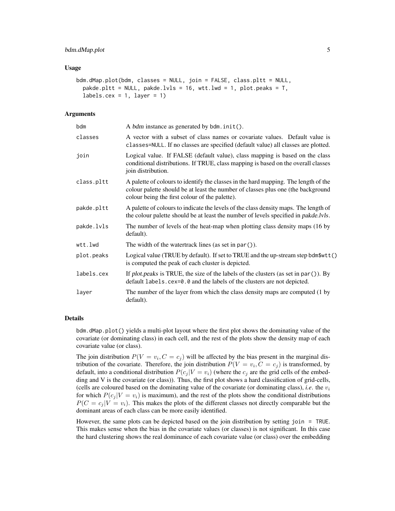#### bdm.dMap.plot 5

#### Usage

```
bdm.dMap.plot(bdm, classes = NULL, join = FALSE, class.pltt = NULL,
  pakde.pltt = NULL, pakde.lvls = 16, wtt.lwd = 1, plot.peaks = T,
  labels.cex = 1, layer = 1)
```
#### Arguments

| bdm        | A bdm instance as generated by bdm.init().                                                                                                                                                                                |
|------------|---------------------------------------------------------------------------------------------------------------------------------------------------------------------------------------------------------------------------|
| classes    | A vector with a subset of class names or covariate values. Default value is<br>classes=NULL. If no classes are specified (default value) all classes are plotted.                                                         |
| join       | Logical value. If FALSE (default value), class mapping is based on the class<br>conditional distributions. If TRUE, class mapping is based on the overall classes<br>join distribution.                                   |
| class.pltt | A palette of colours to identify the classes in the hard mapping. The length of the<br>colour palette should be at least the number of classes plus one (the background<br>colour being the first colour of the palette). |
| pakde.pltt | A palette of colours to indicate the levels of the class density maps. The length of<br>the colour palette should be at least the number of levels specified in <i>pakde.lvls</i> .                                       |
| pakde.lvls | The number of levels of the heat-map when plotting class density maps (16 by<br>default).                                                                                                                                 |
| wtt.lwd    | The width of the watertrack lines (as set in $par()$ ).                                                                                                                                                                   |
| plot.peaks | Logical value (TRUE by default). If set to TRUE and the up-stream step bdm\$wtt()<br>is computed the peak of each cluster is depicted.                                                                                    |
| labels.cex | If plot peaks is TRUE, the size of the labels of the clusters (as set in par $()$ ). By<br>default labels.cex=0.0 and the labels of the clusters are not depicted.                                                        |
| layer      | The number of the layer from which the class density maps are computed (1 by<br>default).                                                                                                                                 |

#### Details

bdm.dMap.plot() yields a multi-plot layout where the first plot shows the dominating value of the covariate (or dominating class) in each cell, and the rest of the plots show the density map of each covariate value (or class).

The join distribution  $P(V = v_i, C = c_j)$  will be affected by the bias present in the marginal distribution of the covariate. Therefore, the join distribution  $P(V = v_i, C = c_j)$  is transformed, by default, into a conditional distribution  $P(c_i | V = v_i)$  (where the  $c_i$  are the grid cells of the embedding and V is the covariate (or class)). Thus, the first plot shows a hard classification of grid-cells, (cells are coloured based on the dominating value of the covariate (or dominating class), *i.e.* the  $v_i$ for which  $P(c_j | V = v_i)$  is maximum), and the rest of the plots show the conditional distributions  $P(C = c_i | V = v_i)$ . This makes the plots of the different classes not directly comparable but the dominant areas of each class can be more easily identified.

However, the same plots can be depicted based on the join distribution by setting join = TRUE. This makes sense when the bias in the covariate values (or classes) is not significant. In this case the hard clustering shows the real dominance of each covariate value (or class) over the embedding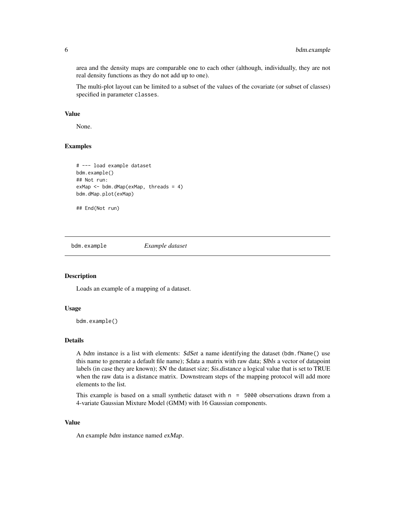area and the density maps are comparable one to each other (although, individually, they are not real density functions as they do not add up to one).

The multi-plot layout can be limited to a subset of the values of the covariate (or subset of classes) specified in parameter classes.

## Value

None.

#### Examples

```
# --- load example dataset
bdm.example()
## Not run:
exMap <- bdm.dMap(exMap, threads = 4)
bdm.dMap.plot(exMap)
```

```
## End(Not run)
```
bdm.example *Example dataset*

#### Description

Loads an example of a mapping of a dataset.

#### Usage

bdm.example()

#### Details

A bdm instance is a list with elements: \$dSet a name identifying the dataset (bdm.fName() use this name to generate a default file name); \$data a matrix with raw data; \$lbls a vector of datapoint labels (in case they are known);  $SN$  the dataset size; \$is.distance a logical value that is set to TRUE when the raw data is a distance matrix. Downstream steps of the mapping protocol will add more elements to the list.

This example is based on a small synthetic dataset with  $n = 5000$  observations drawn from a 4-variate Gaussian Mixture Model (GMM) with 16 Gaussian components.

#### Value

An example bdm instance named exMap.

<span id="page-5-0"></span>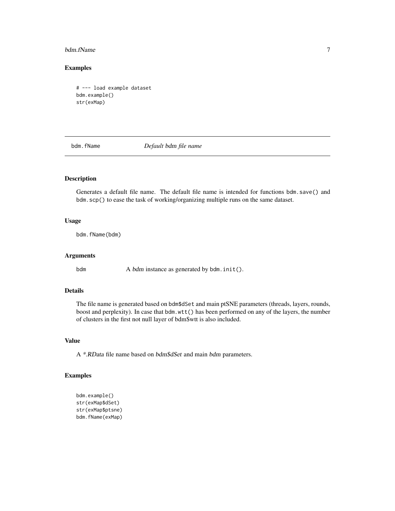#### <span id="page-6-0"></span>bdm.fName 7

## Examples

```
# --- load example dataset
bdm.example()
str(exMap)
```
bdm.fName *Default* bdm *file name*

#### Description

Generates a default file name. The default file name is intended for functions bdm.save() and bdm.scp() to ease the task of working/organizing multiple runs on the same dataset.

#### Usage

bdm.fName(bdm)

#### Arguments

bdm A *bdm* instance as generated by bdm.init().

#### Details

The file name is generated based on bdm\$dSet and main ptSNE parameters (threads, layers, rounds, boost and perplexity). In case that bdm.wtt() has been performed on any of the layers, the number of clusters in the first not null layer of bdm\$wtt is also included.

#### Value

A \*.RData file name based on bdm\$dSet and main bdm parameters.

```
bdm.example()
str(exMap$dSet)
str(exMap$ptsne)
bdm.fName(exMap)
```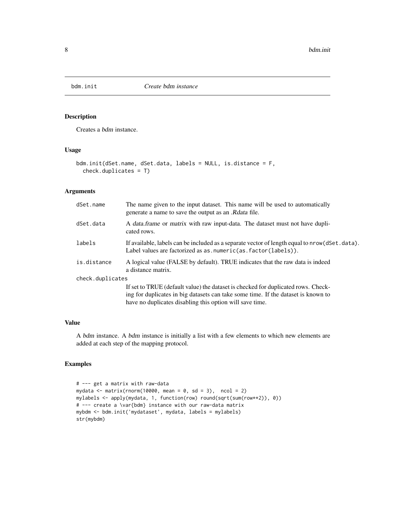<span id="page-7-0"></span>

Creates a bdm instance.

## Usage

```
bdm.init(dSet.name, dSet.data, labels = NULL, is.distance = F,
  check.duplicates = T)
```
## Arguments

| dSet.name        | The name given to the input dataset. This name will be used to automatically<br>generate a name to save the output as an .R <i>data</i> file.                                                                                      |
|------------------|------------------------------------------------------------------------------------------------------------------------------------------------------------------------------------------------------------------------------------|
| dSet.data        | A data frame or matrix with raw input-data. The dataset must not have dupli-<br>cated rows.                                                                                                                                        |
| labels           | If available, labels can be included as a separate vector of length equal to nrow (dSet.data).<br>Label values are factorized as as $numeric(as, factor(labels)).$                                                                 |
| is.distance      | A logical value (FALSE by default). TRUE indicates that the raw data is indeed<br>a distance matrix.                                                                                                                               |
| check.duplicates |                                                                                                                                                                                                                                    |
|                  | If set to TRUE (default value) the dataset is checked for duplicated rows. Check-<br>ing for duplicates in big datasets can take some time. If the dataset is known to<br>have no duplicates disabling this option will save time. |

#### Value

A bdm instance. A bdm instance is initially a list with a few elements to which new elements are added at each step of the mapping protocol.

```
# --- get a matrix with raw-data
mydata <- matrix(rnorm(10000, mean = 0, sd = 3), ncol = 2)
mylabels <- apply(mydata, 1, function(row) round(sqrt(sum(row**2)), 0))
# --- create a \var{bdm} instance with our raw-data matrix
mybdm <- bdm.init('mydataset', mydata, labels = mylabels)
str(mybdm)
```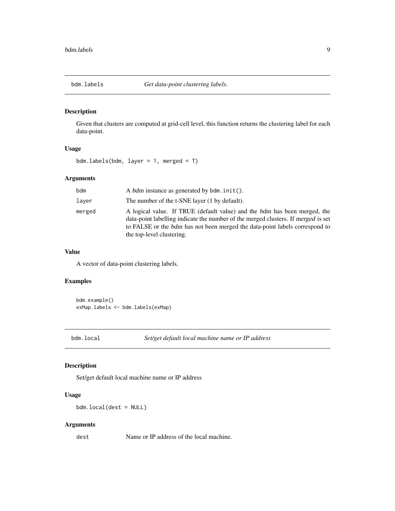<span id="page-8-0"></span>

Given that clusters are computed at grid-cell level, this function returns the clustering label for each data-point.

## Usage

bdm.labels(bdm, layer =  $1$ , merged =  $T$ )

#### Arguments

| bdm    | A bdm instance as generated by $\mathsf{bdm}\mathsf{.init}()$ .                                                                                                                                                                                                            |
|--------|----------------------------------------------------------------------------------------------------------------------------------------------------------------------------------------------------------------------------------------------------------------------------|
| laver  | The number of the t-SNE layer (1 by default).                                                                                                                                                                                                                              |
| merged | A logical value. If TRUE (default value) and the bdm has been merged, the<br>data-point labelling indicate the number of the merged clusters. If merged is set<br>to FALSE or the bdm has not been merged the data-point labels correspond to<br>the top-level clustering. |

## Value

A vector of data-point clustering labels.

## Examples

bdm.example() exMap.labels <- bdm.labels(exMap)

bdm.local *Set/get default local machine name or IP address*

## Description

Set/get default local machine name or IP address

#### Usage

bdm.local(dest = NULL)

## Arguments

dest Name or IP address of the local machine.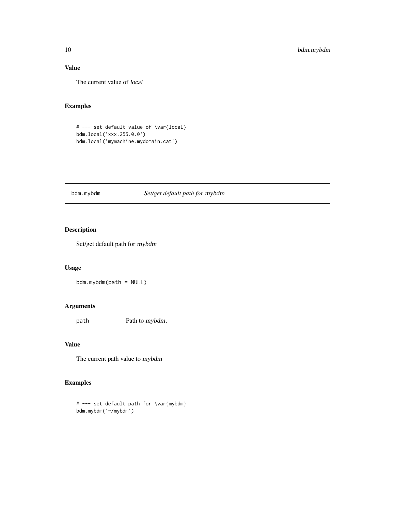## <span id="page-9-0"></span>Value

The current value of local

## Examples

```
# --- set default value of \var{local}
bdm.local('xxx.255.0.0')
bdm.local('mymachine.mydomain.cat')
```
## bdm.mybdm *Set/get default path for* mybdm

## Description

Set/get default path for mybdm

## Usage

bdm.mybdm(path = NULL)

## Arguments

path Path to mybdm.

## Value

The current path value to mybdm

## Examples

# --- set default path for \var{mybdm} bdm.mybdm('~/mybdm')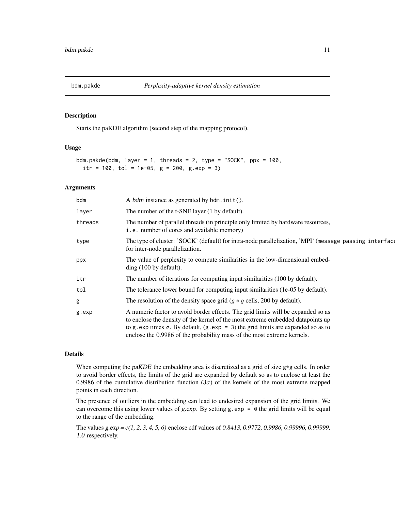<span id="page-10-0"></span>

Starts the paKDE algorithm (second step of the mapping protocol).

#### Usage

```
bdm.pakde(bdm, layer = 1, threads = 2, type = "SOCK", ppx = 100,
  itr = 100, tol = 1e-05, g = 200, g. exp = 3)
```
#### Arguments

| A bdm instance as generated by bdm. init().                                                                                                                                                                                                                                                                                                 |
|---------------------------------------------------------------------------------------------------------------------------------------------------------------------------------------------------------------------------------------------------------------------------------------------------------------------------------------------|
| The number of the t-SNE layer (1 by default).                                                                                                                                                                                                                                                                                               |
| The number of parallel threads (in principle only limited by hardware resources,<br>i.e. number of cores and available memory)                                                                                                                                                                                                              |
| The type of cluster: 'SOCK' (default) for intra-node parallelization, 'MPI' (message passing interface<br>for inter-node parallelization.                                                                                                                                                                                                   |
| The value of perplexity to compute similarities in the low-dimensional embed-<br>$\text{ding}$ (100 by default).                                                                                                                                                                                                                            |
| The number of iterations for computing input similarities (100 by default).                                                                                                                                                                                                                                                                 |
| The tolerance lower bound for computing input similarities (1e-05 by default).                                                                                                                                                                                                                                                              |
| The resolution of the density space grid $(g * g$ cells, 200 by default).                                                                                                                                                                                                                                                                   |
| A numeric factor to avoid border effects. The grid limits will be expanded so as<br>to enclose the density of the kernel of the most extreme embedded datapoints up<br>to g. exp times $\sigma$ . By default, (g. exp = 3) the grid limits are expanded so as to<br>enclose the 0.9986 of the probability mass of the most extreme kernels. |
|                                                                                                                                                                                                                                                                                                                                             |

#### Details

When computing the *paKDE* the embedding area is discretized as a grid of size  $g*g$  cells. In order to avoid border effects, the limits of the grid are expanded by default so as to enclose at least the 0.9986 of the cumulative distribution function ( $3\sigma$ ) of the kernels of the most extreme mapped points in each direction.

The presence of outliers in the embedding can lead to undesired expansion of the grid limits. We can overcome this using lower values of g.exp. By setting g.exp =  $\theta$  the grid limits will be equal to the range of the embedding.

The values g.exp = c(1, 2, 3, 4, 5, 6) enclose cdf values of 0.8413, 0.9772, 0.9986, 0.99996, 0.99999, 1.0 respectively.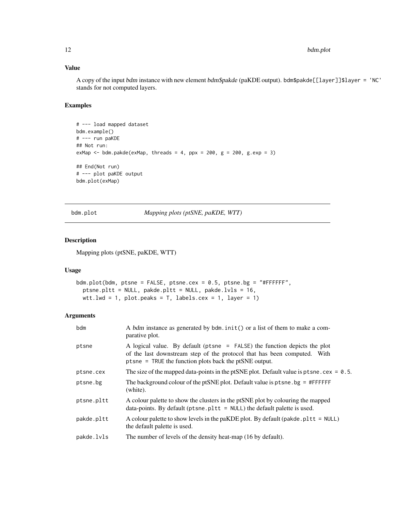## <span id="page-11-0"></span>Value

A copy of the input bdm instance with new element bdm\$pakde (paKDE output). bdm\$pakde[[layer]]\$layer = 'NC' stands for not computed layers.

#### Examples

```
# --- load mapped dataset
bdm.example()
# --- run paKDE
## Not run:
exMap \le bdm.pakde(exMap, threads = 4, ppx = 200, g = 200, g.exp = 3)
## End(Not run)
# --- plot paKDE output
bdm.plot(exMap)
```
bdm.plot *Mapping plots (ptSNE, paKDE, WTT)*

#### Description

Mapping plots (ptSNE, paKDE, WTT)

#### Usage

```
bdm.plot(bdm, ptsne = FALSE, ptsne.cex = 0.5, ptsne.bg = "#FFFFFF",
 ptsne.pltt = NULL, pakde.pltt = NULL, pakde.lvls = 16,
 wtt.lwd = 1, plot.peaks = T, labels.cex = 1, layer = 1)
```
## Arguments

| bdm        | A bdm instance as generated by bdm. init() or a list of them to make a com-<br>parative plot.                                                                                                                   |
|------------|-----------------------------------------------------------------------------------------------------------------------------------------------------------------------------------------------------------------|
| ptsne      | A logical value. By default (ptsne = FALSE) the function depicts the plot<br>of the last downstream step of the protocol that has been computed. With<br>ptsne = TRUE the function plots back the ptSNE output. |
| ptsne.cex  | The size of the mapped data-points in the ptSNE plot. Default value is pt sne. $cex = 0.5$ .                                                                                                                    |
| ptsne.bg   | The background colour of the ptSNE plot. Default value is $ptsne$ . bg = #FFFFFF<br>(white).                                                                                                                    |
| ptsne.pltt | A colour palette to show the clusters in the ptSNE plot by colouring the mapped<br>data-points. By default ( $ptsne.$ $plt = NULL$ ) the default palette is used.                                               |
| pakde.pltt | A colour palette to show levels in the paKDE plot. By default (pakde. pl t $t = NULL$ )<br>the default palette is used.                                                                                         |
| pakde.lvls | The number of levels of the density heat-map (16 by default).                                                                                                                                                   |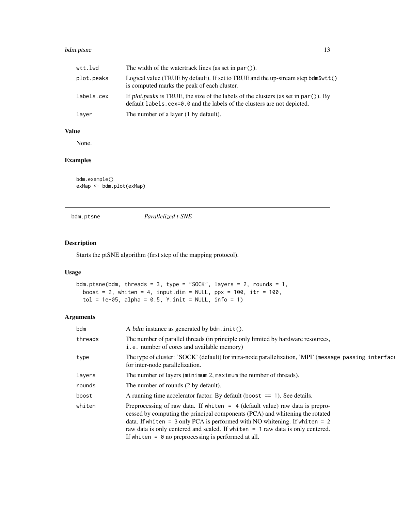## <span id="page-12-0"></span>bdm.ptsne 13

| wtt.lwd    | The width of the watertrack lines (as set in $par()$ ).                                                                                                            |
|------------|--------------------------------------------------------------------------------------------------------------------------------------------------------------------|
| plot.peaks | Logical value (TRUE by default). If set to TRUE and the up-stream step bdm\$wtt()<br>is computed marks the peak of each cluster.                                   |
| labels.cex | If plot peaks is TRUE, the size of the labels of the clusters (as set in par $()$ ). By<br>default labels.cex=0.0 and the labels of the clusters are not depicted. |
| layer      | The number of a layer (1 by default).                                                                                                                              |

#### Value

None.

## Examples

```
bdm.example()
exMap <- bdm.plot(exMap)
```
bdm.ptsne *Parallelized t-SNE*

## Description

Starts the ptSNE algorithm (first step of the mapping protocol).

## Usage

```
bdm.ptsne(bdm, threads = 3, type = "SOCK", layers = 2, rounds = 1,
 boost = 2, whiten = 4, input.dim = NULL, ppx = 100, itr = 100,
  tol = 1e-05, alpha = 0.5, Y.init = NULL, info = 1)
```
## Arguments

| bdm     | A bdm instance as generated by $\mathsf{bdm}\mathsf{.init}()$ .                                                                                                                                                                                                                                                                                                                               |
|---------|-----------------------------------------------------------------------------------------------------------------------------------------------------------------------------------------------------------------------------------------------------------------------------------------------------------------------------------------------------------------------------------------------|
| threads | The number of parallel threads (in principle only limited by hardware resources,<br>i.e. number of cores and available memory)                                                                                                                                                                                                                                                                |
| type    | The type of cluster: 'SOCK' (default) for intra-node parallelization, 'MPI' (message passing interface<br>for inter-node parallelization.                                                                                                                                                                                                                                                     |
| layers  | The number of layers (minimum 2, maximum the number of threads).                                                                                                                                                                                                                                                                                                                              |
| rounds  | The number of rounds (2 by default).                                                                                                                                                                                                                                                                                                                                                          |
| boost   | A running time accelerator factor. By default (boost $== 1$ ). See details.                                                                                                                                                                                                                                                                                                                   |
| whiten  | Preprocessing of raw data. If whiten $=$ 4 (default value) raw data is prepro-<br>cessed by computing the principal components (PCA) and whitening the rotated<br>data. If whiten = $3$ only PCA is performed with NO whitening. If whiten = $2$<br>raw data is only centered and scaled. If whiten $= 1$ raw data is only centered.<br>If whiten $= 0$ no preprocessing is performed at all. |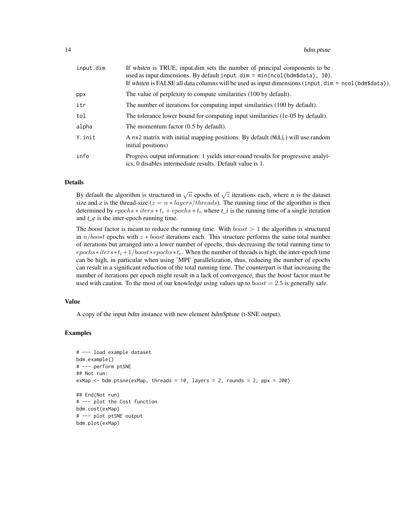| input.dim | If whiten is TRUE, input dim sets the number of principal components to be<br>used as input dimensions. By default input.dim = $min(ncol(bdm$data)$ , 30).<br>If whiten is FALSE all data columns will be used as input dimensions (input $\dim = \text{ncol}(\text{bdm$data})).$ |  |
|-----------|-----------------------------------------------------------------------------------------------------------------------------------------------------------------------------------------------------------------------------------------------------------------------------------|--|
| ppx       | The value of perplexity to compute similarities (100 by default).                                                                                                                                                                                                                 |  |
| itr       | The number of iterations for computing input similarities (100 by default).                                                                                                                                                                                                       |  |
| tol       | The tolerance lower bound for computing input similarities (1e-05 by default).                                                                                                                                                                                                    |  |
| alpha     | The momentum factor $(0.5$ by default).                                                                                                                                                                                                                                           |  |
| Y.init    | A nx2 matrix with initial mapping positions. By default (NULL) will use random<br>initial positions)                                                                                                                                                                              |  |
| info      | Progress output information: 1 yields inter-round results for progressive analyt-<br>ics, 0 disables intermediate results. Default value is 1.                                                                                                                                    |  |

#### Details

By default the algorithm is structured in  $\sqrt{n}$  epochs of  $\sqrt{z}$  iterations each, where *n* is the dataset size and z is the thread-size  $(z = n * layers/threads)$ . The running time of the algorithm is then determined by  $epochs * iter * t_i + epochs * t_e$  where  $t_i$  is the running time of a single iteration and  $t_e$  is the inter-epoch running time.

The boost factor is meant to reduce the running time. With  $boost > 1$  the algorithm is structured in  $n/boost$  epochs with  $z * boost$  iterations each. This structure performs the same total number of iterations but arranged into a lower number of epochs, thus decreasing the total running time to  $epochs * iter * t_i + 1/boost * epochs * t_e$ . When the number of threads is high, the inter-epoch time can be high, in particular when using 'MPI' parallelization, thus, reducing the number of epochs can result in a significant reduction of the total running time. The counterpart is that increasing the number of iterations per epoch might result in a lack of convergence, thus the boost factor must be used with caution. To the most of our knowledge using values up to  $boost = 2.5$  is generally safe.

## Value

A copy of the input bdm instance with new element bdm\$ptsne (t-SNE output).

```
# --- load example dataset
bdm.example()
# --- perform ptSNE
## Not run:
exMap \leq bdm.ptsne(exMap, threads = 10, layers = 2, rounds = 2, ppx = 200)
## End(Not run)
# --- plot the Cost function
bdm.cost(exMap)
# --- plot ptSNE output
bdm.plot(exMap)
```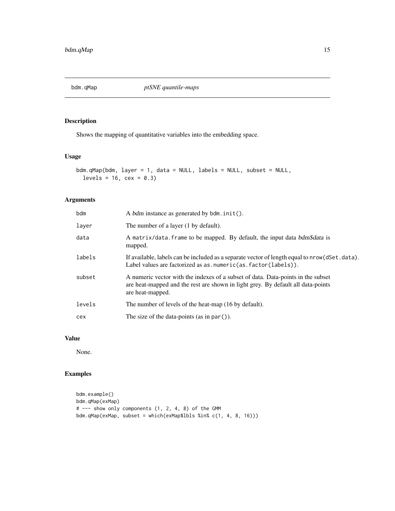<span id="page-14-0"></span>bdm.qMap *ptSNE quantile-maps*

## Description

Shows the mapping of quantitative variables into the embedding space.

## Usage

```
bdm.qMap(bdm, layer = 1, data = NULL, labels = NULL, subset = NULL,
  levels = 16, cex = 0.3)
```
## Arguments

| bdm    | A bdm instance as generated by $\mathsf{bdm}\cdot\mathsf{init}()$ .                                                                                                                      |  |
|--------|------------------------------------------------------------------------------------------------------------------------------------------------------------------------------------------|--|
| layer  | The number of a layer (1 by default).                                                                                                                                                    |  |
| data   | A matrix/data. frame to be mapped. By default, the input data bdm\$data is<br>mapped.                                                                                                    |  |
| labels | If available, labels can be included as a separate vector of length equal to nrow (dSet.data).<br>Label values are factorized as as $numeric(as, factor(labels)).$                       |  |
| subset | A numeric vector with the indexes of a subset of data. Data-points in the subset<br>are heat-mapped and the rest are shown in light grey. By default all data-points<br>are heat-mapped. |  |
| levels | The number of levels of the heat-map (16 by default).                                                                                                                                    |  |
| cex    | The size of the data-points (as in par $()$ ).                                                                                                                                           |  |

#### Value

None.

```
bdm.example()
bdm.qMap(exMap)
# --- show only components (1, 2, 4, 8) of the GMM
bdm.qMap(exMap, subset = which(exMap$lbls %in% c(1, 4, 8, 16)))
```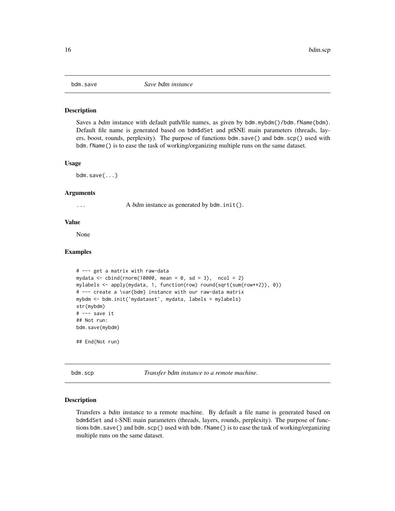<span id="page-15-0"></span>

Saves a bdm instance with default path/file names, as given by bdm.mybdm()/bdm.fName(bdm). Default file name is generated based on bdm\$dSet and ptSNE main parameters (threads, layers, boost, rounds, perplexity). The purpose of functions bdm.save() and bdm.scp() used with bdm.fName() is to ease the task of working/organizing multiple runs on the same dataset.

#### Usage

bdm.save(...)

#### Arguments

... A *bdm* instance as generated by bdm.init().

#### Value

None

#### Examples

```
# --- get a matrix with raw-data
mydata \le cbind(rnorm(10000, mean = 0, sd = 3), ncol = 2)
mylabels <- apply(mydata, 1, function(row) round(sqrt(sum(row**2)), 0))
# --- create a \var{bdm} instance with our raw-data matrix
mybdm <- bdm.init('mydataset', mydata, labels = mylabels)
str(mybdm)
# --- save it
## Not run:
bdm.save(mybdm)
## End(Not run)
```
bdm.scp *Transfer* bdm *instance to a remote machine.*

#### Description

Transfers a bdm instance to a remote machine. By default a file name is generated based on bdm\$dSet and t-SNE main parameters (threads, layers, rounds, perplexity). The purpose of functions bdm.save() and bdm.scp() used with bdm.fName() is to ease the task of working/organizing multiple runs on the same dataset.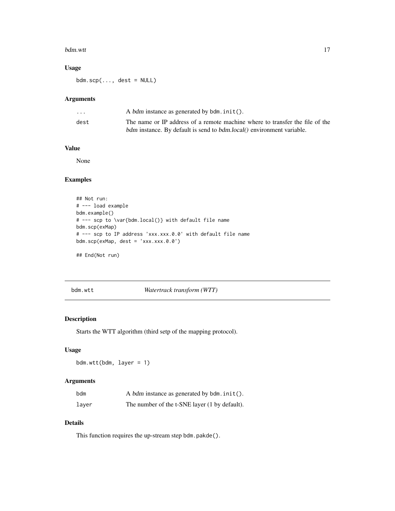#### <span id="page-16-0"></span>bdm.wtt 17

## Usage

 $bdm.scp(..., dest = NULL)$ 

## Arguments

| $\cdot$ $\cdot$ $\cdot$ | A bdm instance as generated by bdm. init().                                         |
|-------------------------|-------------------------------------------------------------------------------------|
| dest                    | The name or IP address of a remote machine where to transfer the file of the        |
|                         | <i>bdm</i> instance. By default is send to <i>bdm.local()</i> environment variable. |

#### Value

None

## Examples

```
## Not run:
# --- load example
bdm.example()
# --- scp to \var{bdm.local()} with default file name
bdm.scp(exMap)
# --- scp to IP address 'xxx.xxx.0.0' with default file name
bdm.scp(exMap, dest = 'xxx.xxx.0.0')
```
## End(Not run)

bdm.wtt *Watertrack transform (WTT)*

## Description

Starts the WTT algorithm (third setp of the mapping protocol).

#### Usage

bdm.wtt(bdm, layer = 1)

## Arguments

| bdm   | A bdm instance as generated by $\mathsf{bdm}\mathsf{.init}()$ . |
|-------|-----------------------------------------------------------------|
| laver | The number of the t-SNE layer (1 by default).                   |

#### Details

This function requires the up-stream step bdm.pakde().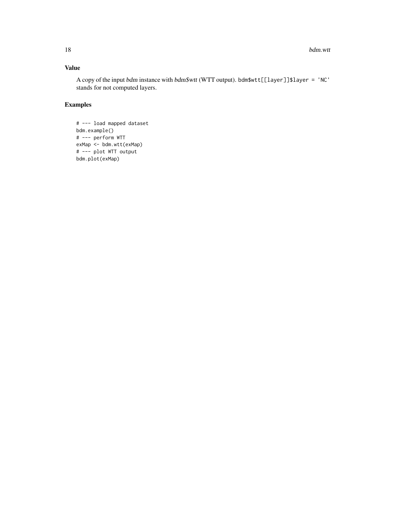## Value

A copy of the input bdm instance with bdm\$wtt (WTT output). bdm\$wtt[[layer]]\$layer = 'NC' stands for not computed layers.

```
# --- load mapped dataset
bdm.example()
# --- perform WTT
exMap <- bdm.wtt(exMap)
# --- plot WTT output
bdm.plot(exMap)
```